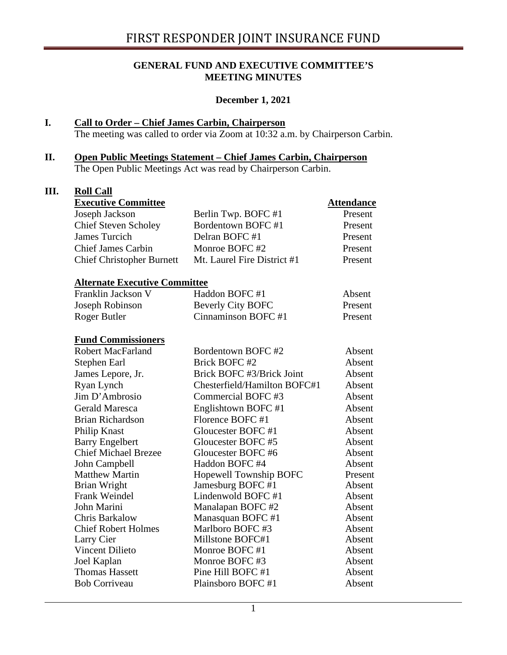#### **GENERAL FUND AND EXECUTIVE COMMITTEE'S MEETING MINUTES**

#### **December 1, 2021**

## **I. Call to Order – Chief James Carbin, Chairperson**

The meeting was called to order via Zoom at 10:32 a.m. by Chairperson Carbin.

#### **II. Open Public Meetings Statement – Chief James Carbin, Chairperson** The Open Public Meetings Act was read by Chairperson Carbin.

**III. Roll Call**

| <b>Executive Committee</b>           |                              | <b>Attendance</b> |
|--------------------------------------|------------------------------|-------------------|
| Joseph Jackson                       | Berlin Twp. BOFC #1          | Present           |
| <b>Chief Steven Scholey</b>          | Bordentown BOFC #1           | Present           |
| <b>James Turcich</b>                 | Delran BOFC #1               | Present           |
| <b>Chief James Carbin</b>            | Monroe BOFC#2                | Present           |
| <b>Chief Christopher Burnett</b>     | Mt. Laurel Fire District #1  | Present           |
| <b>Alternate Executive Committee</b> |                              |                   |
| Franklin Jackson V                   | Haddon BOFC #1               | Absent            |
| Joseph Robinson                      | <b>Beverly City BOFC</b>     | Present           |
| Roger Butler                         | Cinnaminson BOFC #1          | Present           |
| <b>Fund Commissioners</b>            |                              |                   |
| <b>Robert MacFarland</b>             | Bordentown BOFC #2           | Absent            |
| Stephen Earl                         | Brick BOFC #2                | Absent            |
| James Lepore, Jr.                    | Brick BOFC #3/Brick Joint    | Absent            |
| Ryan Lynch                           | Chesterfield/Hamilton BOFC#1 | Absent            |
| Jim D'Ambrosio                       | Commercial BOFC#3            | Absent            |
| <b>Gerald Maresca</b>                | Englishtown BOFC #1          | Absent            |
| <b>Brian Richardson</b>              | Florence BOFC #1             | Absent            |
| Philip Knast                         | Gloucester BOFC #1           | Absent            |
| <b>Barry Engelbert</b>               | Gloucester BOFC#5            | Absent            |
| <b>Chief Michael Brezee</b>          | Gloucester BOFC #6           | Absent            |
| John Campbell                        | Haddon BOFC #4               | Absent            |
| <b>Matthew Martin</b>                | Hopewell Township BOFC       | Present           |
| Brian Wright                         | Jamesburg BOFC#1             | Absent            |
| Frank Weindel                        | Lindenwold BOFC #1           | Absent            |
| John Marini                          | Manalapan BOFC #2            | Absent            |
| Chris Barkalow                       | Manasquan BOFC #1            | Absent            |
| <b>Chief Robert Holmes</b>           | Marlboro BOFC #3             | Absent            |
| Larry Cier                           | Millstone BOFC#1             | Absent            |
| <b>Vincent Dilieto</b>               | Monroe BOFC#1                | Absent            |
| Joel Kaplan                          | Monroe BOFC#3                | Absent            |
| <b>Thomas Hassett</b>                | Pine Hill BOFC #1            | Absent            |
| <b>Bob Corriveau</b>                 | Plainsboro BOFC #1           | Absent            |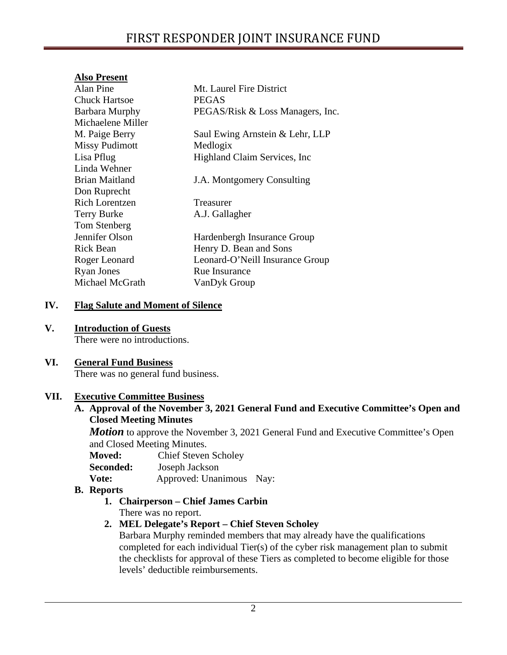## **Also Present**

| Alan Pine             | Mt. Laurel Fire District         |
|-----------------------|----------------------------------|
| Chuck Hartsoe         | <b>PEGAS</b>                     |
| <b>Barbara Murphy</b> | PEGAS/Risk & Loss Managers, Inc. |
| Michaelene Miller     |                                  |
| M. Paige Berry        | Saul Ewing Arnstein & Lehr, LLP  |
| <b>Missy Pudimott</b> | Medlogix                         |
| Lisa Pflug            | Highland Claim Services, Inc.    |
| Linda Wehner          |                                  |
| Brian Maitland        | J.A. Montgomery Consulting       |
| Don Ruprecht          |                                  |
| <b>Rich Lorentzen</b> | Treasurer                        |
| <b>Terry Burke</b>    | A.J. Gallagher                   |
| Tom Stenberg          |                                  |
| Jennifer Olson        | Hardenbergh Insurance Group      |
| <b>Rick Bean</b>      | Henry D. Bean and Sons           |
| Roger Leonard         | Leonard-O'Neill Insurance Group  |
| <b>Ryan Jones</b>     | <b>Rue Insurance</b>             |
| Michael McGrath       | VanDyk Group                     |
|                       |                                  |

## **IV. Flag Salute and Moment of Silence**

### **V. Introduction of Guests**

There were no introductions.

#### **VI. General Fund Business**

There was no general fund business.

## **VII. Executive Committee Business**

**A. Approval of the November 3, 2021 General Fund and Executive Committee's Open and Closed Meeting Minutes**

*Motion* to approve the November 3, 2021 General Fund and Executive Committee's Open and Closed Meeting Minutes.

- **Moved:** Chief Steven Scholey
- **Seconded:** Joseph Jackson
- **Vote:** Approved: Unanimous Nay:

#### **B. Reports**

**1. Chairperson – Chief James Carbin**

There was no report.

## **2. MEL Delegate's Report – Chief Steven Scholey**

Barbara Murphy reminded members that may already have the qualifications completed for each individual Tier(s) of the cyber risk management plan to submit the checklists for approval of these Tiers as completed to become eligible for those levels' deductible reimbursements.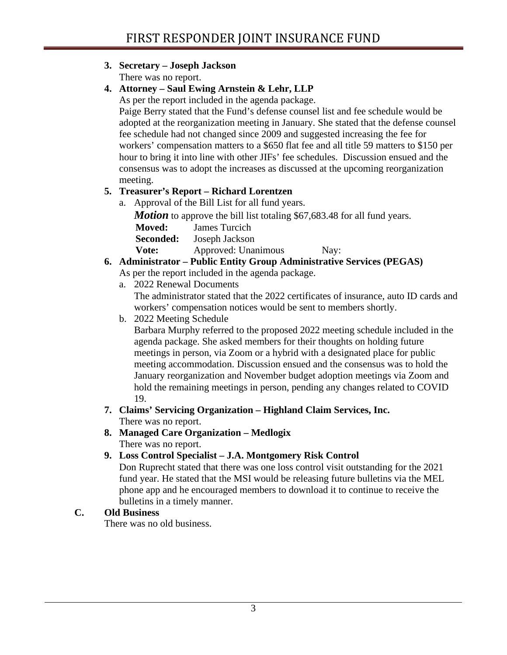## **3. Secretary – Joseph Jackson**

There was no report.

# **4. Attorney – Saul Ewing Arnstein & Lehr, LLP**

As per the report included in the agenda package.

Paige Berry stated that the Fund's defense counsel list and fee schedule would be adopted at the reorganization meeting in January. She stated that the defense counsel fee schedule had not changed since 2009 and suggested increasing the fee for workers' compensation matters to a \$650 flat fee and all title 59 matters to \$150 per hour to bring it into line with other JIFs' fee schedules. Discussion ensued and the consensus was to adopt the increases as discussed at the upcoming reorganization meeting.

# **5. Treasurer's Report – Richard Lorentzen**

a. Approval of the Bill List for all fund years.

*Motion* to approve the bill list totaling \$67,683.48 for all fund years.

**Moved:** James Turcich

**Seconded:** Joseph Jackson

**Vote:** Approved: Unanimous Nay:

# **6. Administrator – Public Entity Group Administrative Services (PEGAS)**

As per the report included in the agenda package.

a. 2022 Renewal Documents

The administrator stated that the 2022 certificates of insurance, auto ID cards and workers' compensation notices would be sent to members shortly.

b. 2022 Meeting Schedule

Barbara Murphy referred to the proposed 2022 meeting schedule included in the agenda package. She asked members for their thoughts on holding future meetings in person, via Zoom or a hybrid with a designated place for public meeting accommodation. Discussion ensued and the consensus was to hold the January reorganization and November budget adoption meetings via Zoom and hold the remaining meetings in person, pending any changes related to COVID 19.

- **7. Claims' Servicing Organization – Highland Claim Services, Inc.** There was no report.
- **8. Managed Care Organization – Medlogix** There was no report.
- **9. Loss Control Specialist – J.A. Montgomery Risk Control**

Don Ruprecht stated that there was one loss control visit outstanding for the 2021 fund year. He stated that the MSI would be releasing future bulletins via the MEL phone app and he encouraged members to download it to continue to receive the bulletins in a timely manner.

## **C. Old Business**

There was no old business.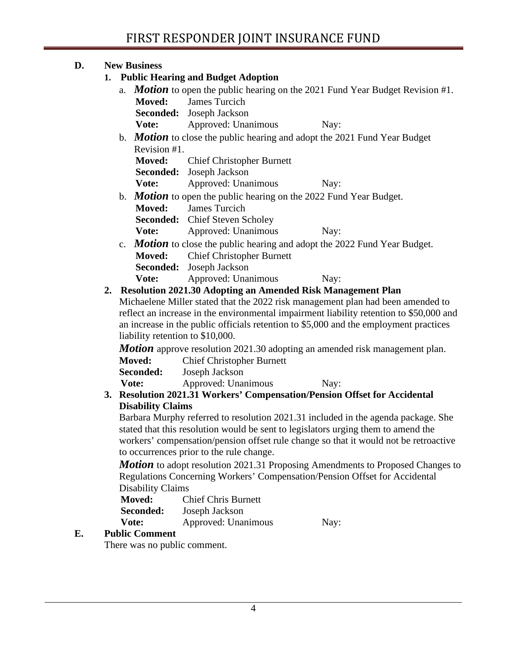## **D. New Business**

## **1. Public Hearing and Budget Adoption** a. *Motion* to open the public hearing on the 2021 Fund Year Budget Revision #1. **Moved:** James Turcich **Seconded:** Joseph Jackson **Vote:** Approved: Unanimous Nay: b. *Motion* to close the public hearing and adopt the 2021 Fund Year Budget Revision #1. **Moved:** Chief Christopher Burnett **Seconded:** Joseph Jackson **Vote:** Approved: Unanimous Nay: b. *Motion* to open the public hearing on the 2022 Fund Year Budget. **Moved:** James Turcich **Seconded:** Chief Steven Scholey **Vote:** Approved: Unanimous Nay: c. *Motion* to close the public hearing and adopt the 2022 Fund Year Budget. **Moved:** Chief Christopher Burnett **Seconded:** Joseph Jackson **Vote:** Approved: Unanimous Nay: **2. Resolution 2021.30 Adopting an Amended Risk Management Plan**

Michaelene Miller stated that the 2022 risk management plan had been amended to reflect an increase in the environmental impairment liability retention to \$50,000 and an increase in the public officials retention to \$5,000 and the employment practices liability retention to \$10,000.

*Motion* approve resolution 2021.30 adopting an amended risk management plan.

**Moved:** Chief Christopher Burnett

**Seconded:** Joseph Jackson

**Vote:** Approved: Unanimous Nay:

#### **3. Resolution 2021.31 Workers' Compensation/Pension Offset for Accidental Disability Claims**

Barbara Murphy referred to resolution 2021.31 included in the agenda package. She stated that this resolution would be sent to legislators urging them to amend the workers' compensation/pension offset rule change so that it would not be retroactive to occurrences prior to the rule change.

*Motion* to adopt resolution 2021.31 Proposing Amendments to Proposed Changes to Regulations Concerning Workers' Compensation/Pension Offset for Accidental Disability Claims

| <b>Moved:</b>    | <b>Chief Chris Burnett</b> |      |
|------------------|----------------------------|------|
| <b>Seconded:</b> | Joseph Jackson             |      |
| Vote:            | Approved: Unanimous        | Nay: |

## **E. Public Comment**

There was no public comment.